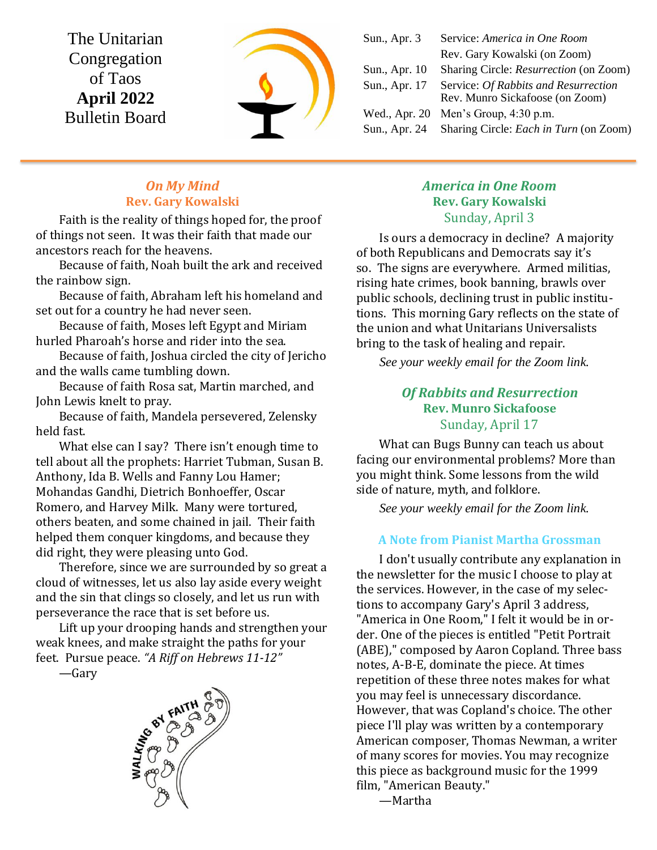The Unitarian Congregation of Taos **April 2022** Bulletin Board



| Service: America in One Room                                            |
|-------------------------------------------------------------------------|
| Rev. Gary Kowalski (on Zoom)                                            |
| Sharing Circle: Resurrection (on Zoom)                                  |
| Service: Of Rabbits and Resurrection<br>Rev. Munro Sickafoose (on Zoom) |
| Men's Group, 4:30 p.m.                                                  |
| Sharing Circle: <i>Each in Turn</i> (on Zoom)                           |
|                                                                         |

## *On My Mind* **Rev. Gary Kowalski**

Faith is the reality of things hoped for, the proof of things not seen. It was their faith that made our ancestors reach for the heavens.

Because of faith, Noah built the ark and received the rainbow sign.

Because of faith, Abraham left his homeland and set out for a country he had never seen.

Because of faith, Moses left Egypt and Miriam hurled Pharoah's horse and rider into the sea.

Because of faith, Joshua circled the city of Jericho and the walls came tumbling down.

Because of faith Rosa sat, Martin marched, and John Lewis knelt to pray.

Because of faith, Mandela persevered, Zelensky held fast.

What else can I say? There isn't enough time to tell about all the prophets: Harriet Tubman, Susan B. Anthony, Ida B. Wells and Fanny Lou Hamer; Mohandas Gandhi, Dietrich Bonhoeffer, Oscar Romero, and Harvey Milk. Many were tortured, others beaten, and some chained in jail. Their faith helped them conquer kingdoms, and because they did right, they were pleasing unto God.

Therefore, since we are surrounded by so great a cloud of witnesses, let us also lay aside every weight and the sin that clings so closely, and let us run with perseverance the race that is set before us.

Lift up your drooping hands and strengthen your weak knees, and make straight the paths for your feet. Pursue peace. *"A Riff on Hebrews 11-12"*

—Gary



## *America in One Room* **Rev. Gary Kowalski** Sunday, April 3

Is ours a democracy in decline? A majority of both Republicans and Democrats say it's so. The signs are everywhere. Armed militias, rising hate crimes, book banning, brawls over public schools, declining trust in public institutions. This morning Gary reflects on the state of the union and what Unitarians Universalists bring to the task of healing and repair.

*See your weekly email for the Zoom link.*

# *Of Rabbits and Resurrection* **Rev. Munro Sickafoose** Sunday, April 17

What can Bugs Bunny can teach us about facing our environmental problems? More than you might think. Some lessons from the wild side of nature, myth, and folklore.

*See your weekly email for the Zoom link.*

## **A Note from Pianist Martha Grossman**

I don't usually contribute any explanation in the newsletter for the music I choose to play at the services. However, in the case of my selections to accompany Gary's April 3 address, "America in One Room," I felt it would be in order. One of the pieces is entitled "Petit Portrait (ABE)," composed by Aaron Copland. Three bass notes, A-B-E, dominate the piece. At times repetition of these three notes makes for what you may feel is unnecessary discordance. However, that was Copland's choice. The other piece I'll play was written by a contemporary American composer, Thomas Newman, a writer of many scores for movies. You may recognize this piece as background music for the 1999 film, "American Beauty."

—Martha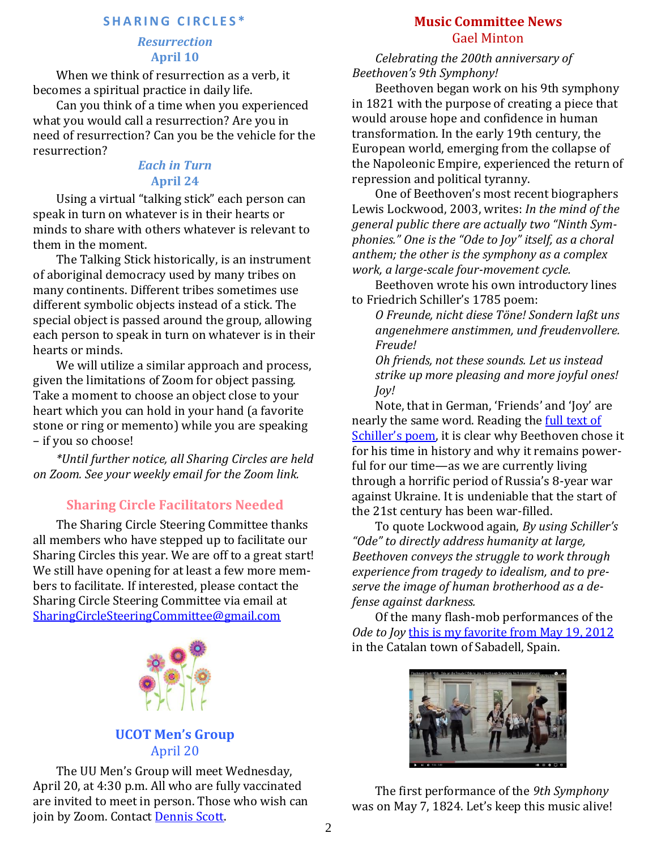#### **S H A R I N G C I R C L E S \***

#### *Resurrection* **April 10**

When we think of resurrection as a verb, it becomes a spiritual practice in daily life.

Can you think of a time when you experienced what you would call a resurrection? Are you in need of resurrection? Can you be the vehicle for the resurrection?

### *Each in Turn* **April 24**

Using a virtual "talking stick" each person can speak in turn on whatever is in their hearts or minds to share with others whatever is relevant to them in the moment.

The Talking Stick historically, is an instrument of aboriginal democracy used by many tribes on many continents. Different tribes sometimes use different symbolic objects instead of a stick. The special object is passed around the group, allowing each person to speak in turn on whatever is in their hearts or minds.

We will utilize a similar approach and process, given the limitations of Zoom for object passing. Take a moment to choose an object close to your heart which you can hold in your hand (a favorite stone or ring or memento) while you are speaking – if you so choose!

*\*Until further notice, all Sharing Circles are held on Zoom. See your weekly email for the Zoom link.*

# **Sharing Circle Facilitators Needed**

The Sharing Circle Steering Committee thanks all members who have stepped up to facilitate our Sharing Circles this year. We are off to a great start! We still have opening for at least a few more members to facilitate. If interested, please contact the Sharing Circle Steering Committee via email at [SharingCircleSteeringCommittee@gmail.com](mailto:SharingCircleSteeringCommittee@gmail.com)



# **UCOT Men's Group** April 20

The UU Men's Group will meet Wednesday, April 20, at 4:30 p.m. All who are fully vaccinated are invited to meet in person. Those who wish can join by Zoom. Contact [Dennis Scott.](mailto:bridge4fun@mac.com)

# **Music Committee News** Gael Minton

*Celebrating the 200th anniversary of Beethoven's 9th Symphony!*

Beethoven began work on his 9th symphony in 1821 with the purpose of creating a piece that would arouse hope and confidence in human transformation. In the early 19th century, the European world, emerging from the collapse of the Napoleonic Empire, experienced the return of repression and political tyranny.

One of Beethoven's most recent biographers Lewis Lockwood, 2003, writes: *In the mind of the general public there are actually two "Ninth Symphonies." One is the "Ode to Joy" itself, as a choral anthem; the other is the symphony as a complex work, a large-scale four-movement cycle.*

Beethoven wrote his own introductory lines to Friedrich Schiller's 1785 poem:

*O Freunde, nicht diese Töne! Sondern laßt uns angenehmere anstimmen, und freudenvollere. Freude!*

*Oh friends, not these sounds. Let us instead strike up more pleasing and more joyful ones! Joy!*

Note, that in German, 'Friends' and 'Joy' are nearly the same word. Reading the [full text of](https://en.wikipedia.org/wiki/Symphony_No._9_(Beethoven)#Text_of_the_fourth_movement)  [Schiller's poem](https://en.wikipedia.org/wiki/Symphony_No._9_(Beethoven)#Text_of_the_fourth_movement), it is clear why Beethoven chose it for his time in history and why it remains powerful for our time—as we are currently living through a horrific period of Russia's 8-year war against Ukraine. It is undeniable that the start of the 21st century has been war-filled.

To quote Lockwood again, *By using Schiller's "Ode" to directly address humanity at large, Beethoven conveys the struggle to work through experience from tragedy to idealism, and to preserve the image of human brotherhood as a defense against darkness.*

Of the many flash-mob performances of the *Ode to Joy [this is my favorite from](https://www.youtube.com/watch?v=kbJcQYVtZMo) May 19, 2012* in the Catalan town of Sabadell, Spain.



The first performance of the *9th Symphony* was on May 7, 1824. Let's keep this music alive!